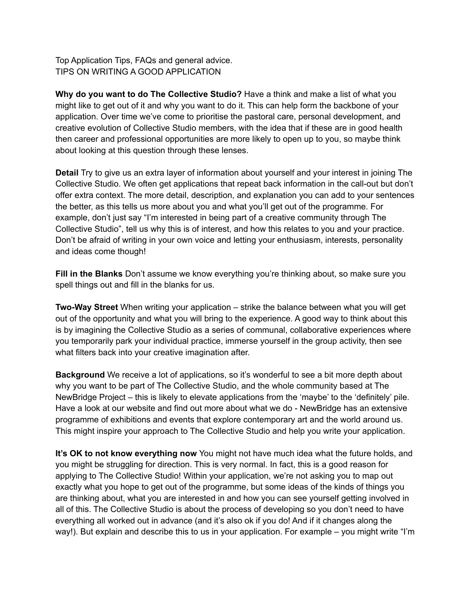Top Application Tips, FAQs and general advice. TIPS ON WRITING A GOOD APPLICATION

**Why do you want to do The Collective Studio?** Have a think and make a list of what you might like to get out of it and why you want to do it. This can help form the backbone of your application. Over time we've come to prioritise the pastoral care, personal development, and creative evolution of Collective Studio members, with the idea that if these are in good health then career and professional opportunities are more likely to open up to you, so maybe think about looking at this question through these lenses.

**Detail** Try to give us an extra layer of information about yourself and your interest in joining The Collective Studio. We often get applications that repeat back information in the call-out but don't offer extra context. The more detail, description, and explanation you can add to your sentences the better, as this tells us more about you and what you'll get out of the programme. For example, don't just say "I'm interested in being part of a creative community through The Collective Studio", tell us why this is of interest, and how this relates to you and your practice. Don't be afraid of writing in your own voice and letting your enthusiasm, interests, personality and ideas come though!

**Fill in the Blanks** Don't assume we know everything you're thinking about, so make sure you spell things out and fill in the blanks for us.

**Two-Way Street** When writing your application – strike the balance between what you will get out of the opportunity and what you will bring to the experience. A good way to think about this is by imagining the Collective Studio as a series of communal, collaborative experiences where you temporarily park your individual practice, immerse yourself in the group activity, then see what filters back into your creative imagination after.

**Background** We receive a lot of applications, so it's wonderful to see a bit more depth about why you want to be part of The Collective Studio, and the whole community based at The NewBridge Project – this is likely to elevate applications from the 'maybe' to the 'definitely' pile. Have a look at our website and find out more about what we do - NewBridge has an extensive programme of exhibitions and events that explore contemporary art and the world around us. This might inspire your approach to The Collective Studio and help you write your application.

**It's OK to not know everything now** You might not have much idea what the future holds, and you might be struggling for direction. This is very normal. In fact, this is a good reason for applying to The Collective Studio! Within your application, we're not asking you to map out exactly what you hope to get out of the programme, but some ideas of the kinds of things you are thinking about, what you are interested in and how you can see yourself getting involved in all of this. The Collective Studio is about the process of developing so you don't need to have everything all worked out in advance (and it's also ok if you do! And if it changes along the way!). But explain and describe this to us in your application. For example – you might write "I'm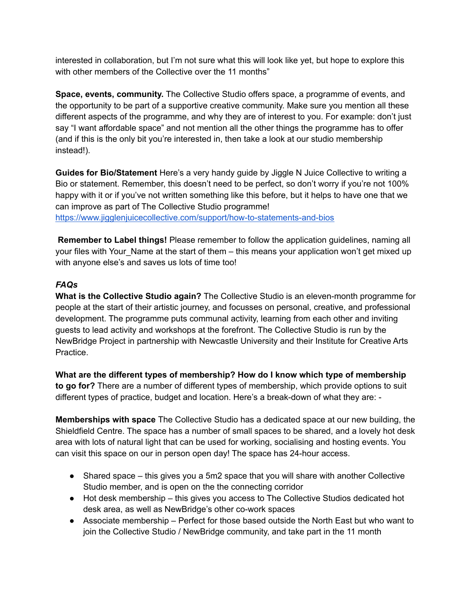interested in collaboration, but I'm not sure what this will look like yet, but hope to explore this with other members of the Collective over the 11 months"

**Space, events, community.** The Collective Studio offers space, a programme of events, and the opportunity to be part of a supportive creative community. Make sure you mention all these different aspects of the programme, and why they are of interest to you. For example: don't just say "I want affordable space" and not mention all the other things the programme has to offer (and if this is the only bit you're interested in, then take a look at our studio membership instead!).

**Guides for Bio/Statement** Here's a very handy guide by Jiggle N Juice Collective to writing a Bio or statement. Remember, this doesn't need to be perfect, so don't worry if you're not 100% happy with it or if you've not written something like this before, but it helps to have one that we can improve as part of The Collective Studio programme! <https://www.jigglenjuicecollective.com/support/how-to-statements-and-bios>

**Remember to Label things!** Please remember to follow the application guidelines, naming all your files with Your Name at the start of them – this means your application won't get mixed up with anyone else's and saves us lots of time too!

## *FAQs*

**What is the Collective Studio again?** The Collective Studio is an eleven-month programme for people at the start of their artistic journey, and focusses on personal, creative, and professional development. The programme puts communal activity, learning from each other and inviting guests to lead activity and workshops at the forefront. The Collective Studio is run by the NewBridge Project in partnership with Newcastle University and their Institute for Creative Arts Practice.

**What are the different types of membership? How do I know which type of membership to go for?** There are a number of different types of membership, which provide options to suit different types of practice, budget and location. Here's a break-down of what they are: -

**Memberships with space** The Collective Studio has a dedicated space at our new building, the Shieldfield Centre. The space has a number of small spaces to be shared, and a lovely hot desk area with lots of natural light that can be used for working, socialising and hosting events. You can visit this space on our in person open day! The space has 24-hour access.

- Shared space this gives you a 5m2 space that you will share with another Collective Studio member, and is open on the the connecting corridor
- Hot desk membership this gives you access to The Collective Studios dedicated hot desk area, as well as NewBridge's other co-work spaces
- Associate membership Perfect for those based outside the North East but who want to join the Collective Studio / NewBridge community, and take part in the 11 month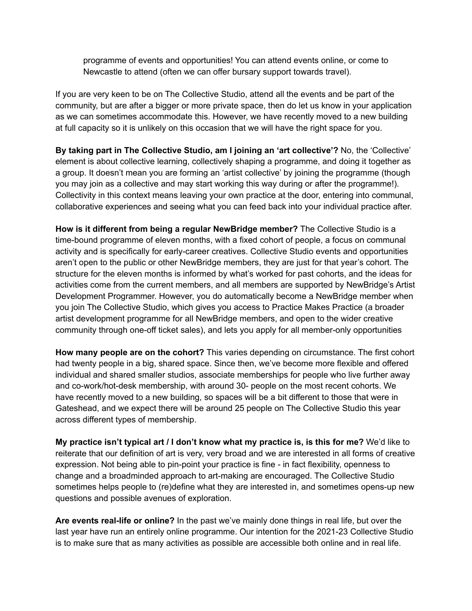programme of events and opportunities! You can attend events online, or come to Newcastle to attend (often we can offer bursary support towards travel).

If you are very keen to be on The Collective Studio, attend all the events and be part of the community, but are after a bigger or more private space, then do let us know in your application as we can sometimes accommodate this. However, we have recently moved to a new building at full capacity so it is unlikely on this occasion that we will have the right space for you.

**By taking part in The Collective Studio, am I joining an 'art collective'?** No, the 'Collective' element is about collective learning, collectively shaping a programme, and doing it together as a group. It doesn't mean you are forming an 'artist collective' by joining the programme (though you may join as a collective and may start working this way during or after the programme!). Collectivity in this context means leaving your own practice at the door, entering into communal, collaborative experiences and seeing what you can feed back into your individual practice after.

**How is it different from being a regular NewBridge member?** The Collective Studio is a time-bound programme of eleven months, with a fixed cohort of people, a focus on communal activity and is specifically for early-career creatives. Collective Studio events and opportunities aren't open to the public or other NewBridge members, they are just for that year's cohort. The structure for the eleven months is informed by what's worked for past cohorts, and the ideas for activities come from the current members, and all members are supported by NewBridge's Artist Development Programmer. However, you do automatically become a NewBridge member when you join The Collective Studio, which gives you access to Practice Makes Practice (a broader artist development programme for all NewBridge members, and open to the wider creative community through one-off ticket sales), and lets you apply for all member-only opportunities

**How many people are on the cohort?** This varies depending on circumstance. The first cohort had twenty people in a big, shared space. Since then, we've become more flexible and offered individual and shared smaller studios, associate memberships for people who live further away and co-work/hot-desk membership, with around 30- people on the most recent cohorts. We have recently moved to a new building, so spaces will be a bit different to those that were in Gateshead, and we expect there will be around 25 people on The Collective Studio this year across different types of membership.

**My practice isn't typical art / I don't know what my practice is, is this for me?** We'd like to reiterate that our definition of art is very, very broad and we are interested in all forms of creative expression. Not being able to pin-point your practice is fine - in fact flexibility, openness to change and a broadminded approach to art-making are encouraged. The Collective Studio sometimes helps people to (re)define what they are interested in, and sometimes opens-up new questions and possible avenues of exploration.

**Are events real-life or online?** In the past we've mainly done things in real life, but over the last year have run an entirely online programme. Our intention for the 2021-23 Collective Studio is to make sure that as many activities as possible are accessible both online and in real life.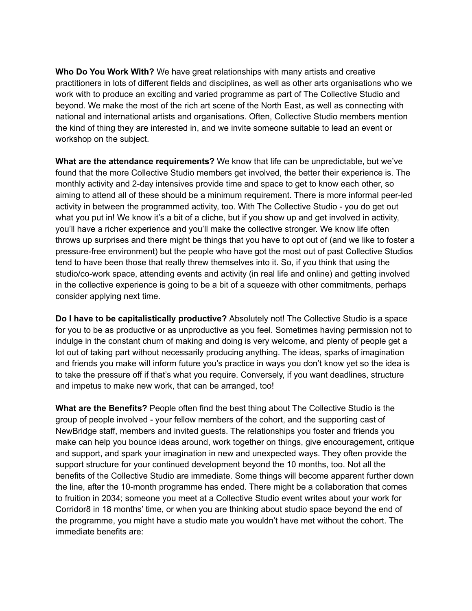**Who Do You Work With?** We have great relationships with many artists and creative practitioners in lots of different fields and disciplines, as well as other arts organisations who we work with to produce an exciting and varied programme as part of The Collective Studio and beyond. We make the most of the rich art scene of the North East, as well as connecting with national and international artists and organisations. Often, Collective Studio members mention the kind of thing they are interested in, and we invite someone suitable to lead an event or workshop on the subject.

**What are the attendance requirements?** We know that life can be unpredictable, but we've found that the more Collective Studio members get involved, the better their experience is. The monthly activity and 2-day intensives provide time and space to get to know each other, so aiming to attend all of these should be a minimum requirement. There is more informal peer-led activity in between the programmed activity, too. With The Collective Studio - you do get out what you put in! We know it's a bit of a cliche, but if you show up and get involved in activity, you'll have a richer experience and you'll make the collective stronger. We know life often throws up surprises and there might be things that you have to opt out of (and we like to foster a pressure-free environment) but the people who have got the most out of past Collective Studios tend to have been those that really threw themselves into it. So, if you think that using the studio/co-work space, attending events and activity (in real life and online) and getting involved in the collective experience is going to be a bit of a squeeze with other commitments, perhaps consider applying next time.

**Do I have to be capitalistically productive?** Absolutely not! The Collective Studio is a space for you to be as productive or as unproductive as you feel. Sometimes having permission not to indulge in the constant churn of making and doing is very welcome, and plenty of people get a lot out of taking part without necessarily producing anything. The ideas, sparks of imagination and friends you make will inform future you's practice in ways you don't know yet so the idea is to take the pressure off if that's what you require. Conversely, if you want deadlines, structure and impetus to make new work, that can be arranged, too!

**What are the Benefits?** People often find the best thing about The Collective Studio is the group of people involved - your fellow members of the cohort, and the supporting cast of NewBridge staff, members and invited guests. The relationships you foster and friends you make can help you bounce ideas around, work together on things, give encouragement, critique and support, and spark your imagination in new and unexpected ways. They often provide the support structure for your continued development beyond the 10 months, too. Not all the benefits of the Collective Studio are immediate. Some things will become apparent further down the line, after the 10-month programme has ended. There might be a collaboration that comes to fruition in 2034; someone you meet at a Collective Studio event writes about your work for Corridor8 in 18 months' time, or when you are thinking about studio space beyond the end of the programme, you might have a studio mate you wouldn't have met without the cohort. The immediate benefits are: